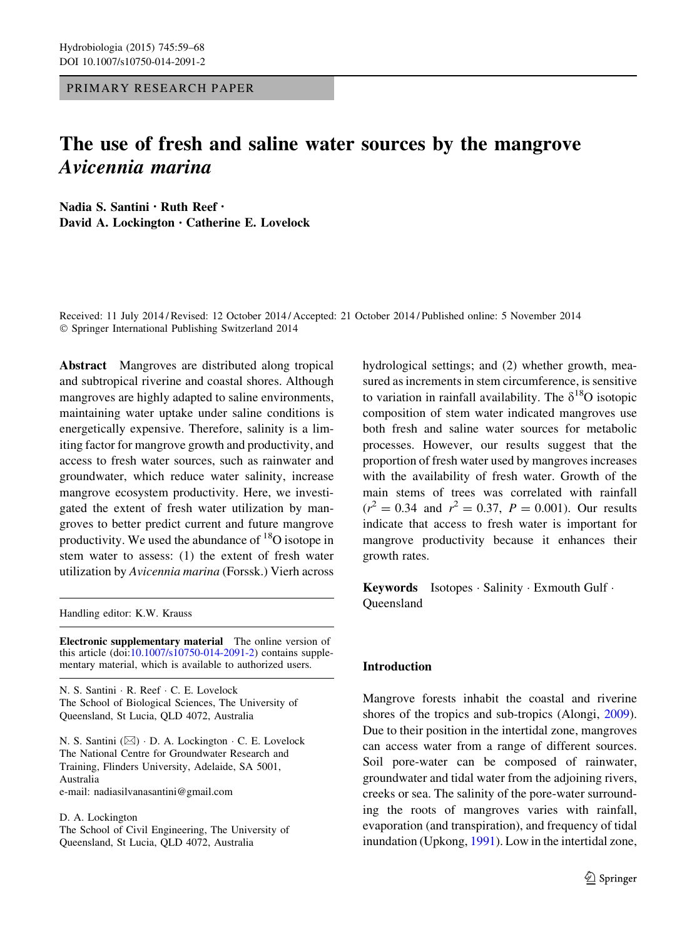PRIMARY RESEARCH PAPER

# The use of fresh and saline water sources by the mangrove Avicennia marina

Nadia S. Santini • Ruth Reef • David A. Lockington • Catherine E. Lovelock

Received: 11 July 2014 / Revised: 12 October 2014 / Accepted: 21 October 2014 / Published online: 5 November 2014 - Springer International Publishing Switzerland 2014

Abstract Mangroves are distributed along tropical and subtropical riverine and coastal shores. Although mangroves are highly adapted to saline environments, maintaining water uptake under saline conditions is energetically expensive. Therefore, salinity is a limiting factor for mangrove growth and productivity, and access to fresh water sources, such as rainwater and groundwater, which reduce water salinity, increase mangrove ecosystem productivity. Here, we investigated the extent of fresh water utilization by mangroves to better predict current and future mangrove productivity. We used the abundance of  $^{18}O$  isotope in stem water to assess: (1) the extent of fresh water utilization by Avicennia marina (Forssk.) Vierh across

Handling editor: K.W. Krauss

Electronic supplementary material The online version of this article  $(doi:10.1007/s10750-014-2091-2)$  $(doi:10.1007/s10750-014-2091-2)$  contains supplementary material, which is available to authorized users.

N. S. Santini - R. Reef - C. E. Lovelock The School of Biological Sciences, The University of Queensland, St Lucia, QLD 4072, Australia

N. S. Santini (⊠) · D. A. Lockington · C. E. Lovelock The National Centre for Groundwater Research and Training, Flinders University, Adelaide, SA 5001, Australia e-mail: nadiasilvanasantini@gmail.com

D. A. Lockington

The School of Civil Engineering, The University of Queensland, St Lucia, QLD 4072, Australia

hydrological settings; and (2) whether growth, measured as increments in stem circumference, is sensitive to variation in rainfall availability. The  $\delta^{18}O$  isotopic composition of stem water indicated mangroves use both fresh and saline water sources for metabolic processes. However, our results suggest that the proportion of fresh water used by mangroves increases with the availability of fresh water. Growth of the main stems of trees was correlated with rainfall  $(r^2 = 0.34$  and  $r^2 = 0.37$ ,  $P = 0.001$ ). Our results indicate that access to fresh water is important for mangrove productivity because it enhances their growth rates.

Keywords Isotopes · Salinity · Exmouth Gulf · Queensland

# **Introduction**

Mangrove forests inhabit the coastal and riverine shores of the tropics and sub-tropics (Alongi, [2009](#page-7-0)). Due to their position in the intertidal zone, mangroves can access water from a range of different sources. Soil pore-water can be composed of rainwater, groundwater and tidal water from the adjoining rivers, creeks or sea. The salinity of the pore-water surrounding the roots of mangroves varies with rainfall, evaporation (and transpiration), and frequency of tidal inundation (Upkong, [1991](#page-8-0)). Low in the intertidal zone,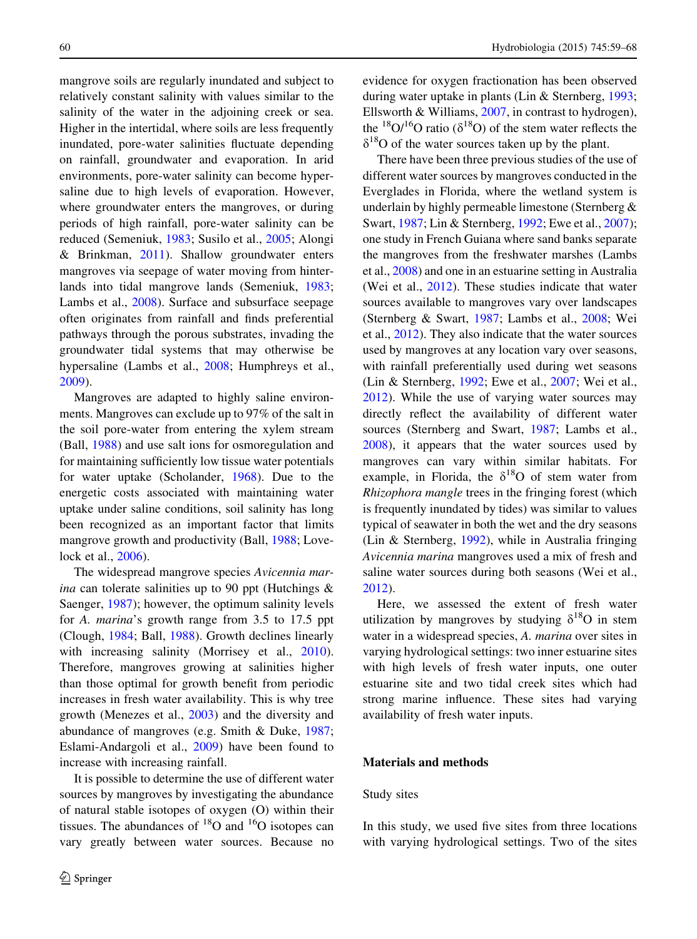mangrove soils are regularly inundated and subject to relatively constant salinity with values similar to the salinity of the water in the adjoining creek or sea. Higher in the intertidal, where soils are less frequently inundated, pore-water salinities fluctuate depending on rainfall, groundwater and evaporation. In arid environments, pore-water salinity can become hypersaline due to high levels of evaporation. However, where groundwater enters the mangroves, or during periods of high rainfall, pore-water salinity can be reduced (Semeniuk, [1983](#page-8-0); Susilo et al., [2005;](#page-8-0) Alongi & Brinkman, [2011\)](#page-7-0). Shallow groundwater enters mangroves via seepage of water moving from hinterlands into tidal mangrove lands (Semeniuk, [1983](#page-8-0); Lambs et al., [2008\)](#page-8-0). Surface and subsurface seepage often originates from rainfall and finds preferential pathways through the porous substrates, invading the groundwater tidal systems that may otherwise be hypersaline (Lambs et al., [2008](#page-8-0); Humphreys et al., [2009\)](#page-8-0).

Mangroves are adapted to highly saline environments. Mangroves can exclude up to 97% of the salt in the soil pore-water from entering the xylem stream (Ball, [1988](#page-7-0)) and use salt ions for osmoregulation and for maintaining sufficiently low tissue water potentials for water uptake (Scholander, [1968\)](#page-8-0). Due to the energetic costs associated with maintaining water uptake under saline conditions, soil salinity has long been recognized as an important factor that limits mangrove growth and productivity (Ball, [1988](#page-7-0); Lovelock et al., [2006\)](#page-8-0).

The widespread mangrove species Avicennia mar*ina* can tolerate salinities up to 90 ppt (Hutchings  $\&$ Saenger, [1987](#page-8-0)); however, the optimum salinity levels for A. marina's growth range from 3.5 to 17.5 ppt (Clough, [1984](#page-7-0); Ball, [1988](#page-7-0)). Growth declines linearly with increasing salinity (Morrisey et al., [2010](#page-8-0)). Therefore, mangroves growing at salinities higher than those optimal for growth benefit from periodic increases in fresh water availability. This is why tree growth (Menezes et al., [2003](#page-8-0)) and the diversity and abundance of mangroves (e.g. Smith & Duke, [1987](#page-8-0); Eslami-Andargoli et al., [2009\)](#page-8-0) have been found to increase with increasing rainfall.

It is possible to determine the use of different water sources by mangroves by investigating the abundance of natural stable isotopes of oxygen (O) within their tissues. The abundances of  $^{18}O$  and  $^{16}O$  isotopes can vary greatly between water sources. Because no evidence for oxygen fractionation has been observed during water uptake in plants (Lin & Sternberg, [1993](#page-8-0); Ellsworth & Williams, [2007,](#page-8-0) in contrast to hydrogen), the <sup>18</sup>O/<sup>16</sup>O ratio ( $\delta$ <sup>18</sup>O) of the stem water reflects the  $\delta^{18}$ O of the water sources taken up by the plant.

There have been three previous studies of the use of different water sources by mangroves conducted in the Everglades in Florida, where the wetland system is underlain by highly permeable limestone (Sternberg & Swart, [1987;](#page-8-0) Lin & Sternberg, [1992](#page-8-0); Ewe et al., [2007](#page-8-0)); one study in French Guiana where sand banks separate the mangroves from the freshwater marshes (Lambs et al., [2008](#page-8-0)) and one in an estuarine setting in Australia (Wei et al., [2012](#page-9-0)). These studies indicate that water sources available to mangroves vary over landscapes (Sternberg & Swart, [1987](#page-8-0); Lambs et al., [2008;](#page-8-0) Wei et al., [2012](#page-9-0)). They also indicate that the water sources used by mangroves at any location vary over seasons, with rainfall preferentially used during wet seasons (Lin & Sternberg, [1992](#page-8-0); Ewe et al., [2007](#page-8-0); Wei et al., [2012\)](#page-9-0). While the use of varying water sources may directly reflect the availability of different water sources (Sternberg and Swart, [1987](#page-8-0); Lambs et al., [2008\)](#page-8-0), it appears that the water sources used by mangroves can vary within similar habitats. For example, in Florida, the  $\delta^{18}O$  of stem water from Rhizophora mangle trees in the fringing forest (which is frequently inundated by tides) was similar to values typical of seawater in both the wet and the dry seasons (Lin & Sternberg, [1992\)](#page-8-0), while in Australia fringing Avicennia marina mangroves used a mix of fresh and saline water sources during both seasons (Wei et al., [2012\)](#page-9-0).

Here, we assessed the extent of fresh water utilization by mangroves by studying  $\delta^{18}O$  in stem water in a widespread species, A. marina over sites in varying hydrological settings: two inner estuarine sites with high levels of fresh water inputs, one outer estuarine site and two tidal creek sites which had strong marine influence. These sites had varying availability of fresh water inputs.

#### Materials and methods

## Study sites

In this study, we used five sites from three locations with varying hydrological settings. Two of the sites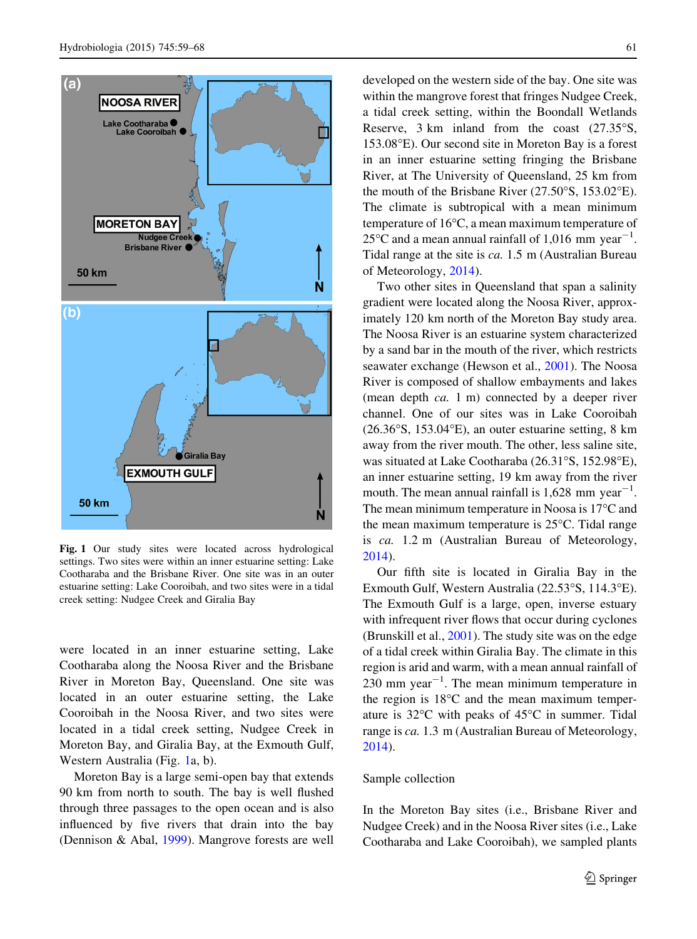

Fig. 1 Our study sites were located across hydrological settings. Two sites were within an inner estuarine setting: Lake Cootharaba and the Brisbane River. One site was in an outer estuarine setting: Lake Cooroibah, and two sites were in a tidal creek setting: Nudgee Creek and Giralia Bay

were located in an inner estuarine setting, Lake Cootharaba along the Noosa River and the Brisbane River in Moreton Bay, Queensland. One site was located in an outer estuarine setting, the Lake Cooroibah in the Noosa River, and two sites were located in a tidal creek setting, Nudgee Creek in Moreton Bay, and Giralia Bay, at the Exmouth Gulf, Western Australia (Fig. 1a, b).

Moreton Bay is a large semi-open bay that extends 90 km from north to south. The bay is well flushed through three passages to the open ocean and is also influenced by five rivers that drain into the bay (Dennison & Abal, [1999](#page-8-0)). Mangrove forests are well developed on the western side of the bay. One site was within the mangrove forest that fringes Nudgee Creek, a tidal creek setting, within the Boondall Wetlands Reserve,  $3 \text{ km}$  inland from the coast  $(27.35)$ °S,  $153.08$ <sup>o</sup>E). Our second site in Moreton Bay is a forest in an inner estuarine setting fringing the Brisbane River, at The University of Queensland, 25 km from the mouth of the Brisbane River  $(27.50^{\circ}S, 153.02^{\circ}E)$ . The climate is subtropical with a mean minimum temperature of  $16^{\circ}$ C, a mean maximum temperature of 25 $\degree$ C and a mean annual rainfall of 1,016 mm year<sup>-1</sup>. Tidal range at the site is ca. 1.5 m (Australian Bureau of Meteorology, [2014\)](#page-7-0).

Two other sites in Queensland that span a salinity gradient were located along the Noosa River, approximately 120 km north of the Moreton Bay study area. The Noosa River is an estuarine system characterized by a sand bar in the mouth of the river, which restricts seawater exchange (Hewson et al., [2001\)](#page-8-0). The Noosa River is composed of shallow embayments and lakes (mean depth ca. 1 m) connected by a deeper river channel. One of our sites was in Lake Cooroibah  $(26.36°S, 153.04°E)$ , an outer estuarine setting, 8 km away from the river mouth. The other, less saline site, was situated at Lake Cootharaba  $(26.31\textdegree S, 152.98\textdegree E)$ , an inner estuarine setting, 19 km away from the river mouth. The mean annual rainfall is  $1,628$  mm year<sup>-1</sup>. The mean minimum temperature in Noosa is  $17^{\circ}$ C and the mean maximum temperature is  $25^{\circ}$ C. Tidal range is ca. 1.2 m (Australian Bureau of Meteorology, [2014\)](#page-7-0).

Our fifth site is located in Giralia Bay in the Exmouth Gulf, Western Australia  $(22.53\textdegree S, 114.3\textdegree E)$ . The Exmouth Gulf is a large, open, inverse estuary with infrequent river flows that occur during cyclones (Brunskill et al., [2001](#page-7-0)). The study site was on the edge of a tidal creek within Giralia Bay. The climate in this region is arid and warm, with a mean annual rainfall of  $230$  mm year<sup> $-1$ </sup>. The mean minimum temperature in the region is  $18^{\circ}$ C and the mean maximum temperature is  $32^{\circ}$ C with peaks of  $45^{\circ}$ C in summer. Tidal range is ca. 1.3 m (Australian Bureau of Meteorology, [2014\)](#page-7-0).

#### Sample collection

In the Moreton Bay sites (i.e., Brisbane River and Nudgee Creek) and in the Noosa River sites (i.e., Lake Cootharaba and Lake Cooroibah), we sampled plants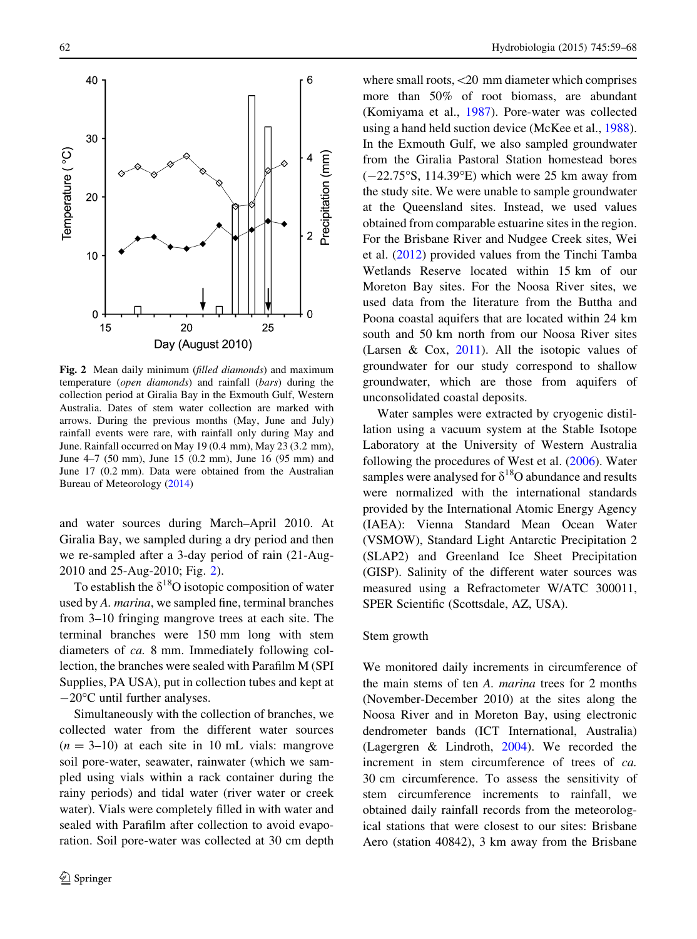<span id="page-3-0"></span>

Fig. 2 Mean daily minimum (filled diamonds) and maximum temperature (open diamonds) and rainfall (bars) during the collection period at Giralia Bay in the Exmouth Gulf, Western Australia. Dates of stem water collection are marked with arrows. During the previous months (May, June and July) rainfall events were rare, with rainfall only during May and June. Rainfall occurred on May 19 (0.4 mm), May 23 (3.2 mm), June 4–7 (50 mm), June 15 (0.2 mm), June 16 (95 mm) and June 17 (0.2 mm). Data were obtained from the Australian Bureau of Meteorology [\(2014](#page-7-0))

and water sources during March–April 2010. At Giralia Bay, we sampled during a dry period and then we re-sampled after a 3-day period of rain (21-Aug-2010 and 25-Aug-2010; Fig. 2).

To establish the  $\delta^{18}$ O isotopic composition of water used by A. marina, we sampled fine, terminal branches from 3–10 fringing mangrove trees at each site. The terminal branches were 150 mm long with stem diameters of ca. 8 mm. Immediately following collection, the branches were sealed with Parafilm M (SPI Supplies, PA USA), put in collection tubes and kept at  $-20$ <sup>o</sup>C until further analyses.

Simultaneously with the collection of branches, we collected water from the different water sources  $(n = 3-10)$  at each site in 10 mL vials: mangrove soil pore-water, seawater, rainwater (which we sampled using vials within a rack container during the rainy periods) and tidal water (river water or creek water). Vials were completely filled in with water and sealed with Parafilm after collection to avoid evaporation. Soil pore-water was collected at 30 cm depth where small roots, <20 mm diameter which comprises more than 50% of root biomass, are abundant (Komiyama et al., [1987\)](#page-8-0). Pore-water was collected using a hand held suction device (McKee et al., [1988](#page-8-0)). In the Exmouth Gulf, we also sampled groundwater from the Giralia Pastoral Station homestead bores  $(-22.75^{\circ}S, 114.39^{\circ}E)$  which were 25 km away from the study site. We were unable to sample groundwater at the Queensland sites. Instead, we used values obtained from comparable estuarine sites in the region. For the Brisbane River and Nudgee Creek sites, Wei et al. [\(2012](#page-9-0)) provided values from the Tinchi Tamba Wetlands Reserve located within 15 km of our Moreton Bay sites. For the Noosa River sites, we used data from the literature from the Buttha and Poona coastal aquifers that are located within 24 km south and 50 km north from our Noosa River sites (Larsen & Cox, [2011\)](#page-8-0). All the isotopic values of groundwater for our study correspond to shallow groundwater, which are those from aquifers of unconsolidated coastal deposits.

Water samples were extracted by cryogenic distillation using a vacuum system at the Stable Isotope Laboratory at the University of Western Australia following the procedures of West et al. [\(2006](#page-9-0)). Water samples were analysed for  $\delta^{18}$ O abundance and results were normalized with the international standards provided by the International Atomic Energy Agency (IAEA): Vienna Standard Mean Ocean Water (VSMOW), Standard Light Antarctic Precipitation 2 (SLAP2) and Greenland Ice Sheet Precipitation (GISP). Salinity of the different water sources was measured using a Refractometer W/ATC 300011, SPER Scientific (Scottsdale, AZ, USA).

#### Stem growth

We monitored daily increments in circumference of the main stems of ten A. marina trees for 2 months (November-December 2010) at the sites along the Noosa River and in Moreton Bay, using electronic dendrometer bands (ICT International, Australia) (Lagergren & Lindroth, [2004\)](#page-8-0). We recorded the increment in stem circumference of trees of ca. 30 cm circumference. To assess the sensitivity of stem circumference increments to rainfall, we obtained daily rainfall records from the meteorological stations that were closest to our sites: Brisbane Aero (station 40842), 3 km away from the Brisbane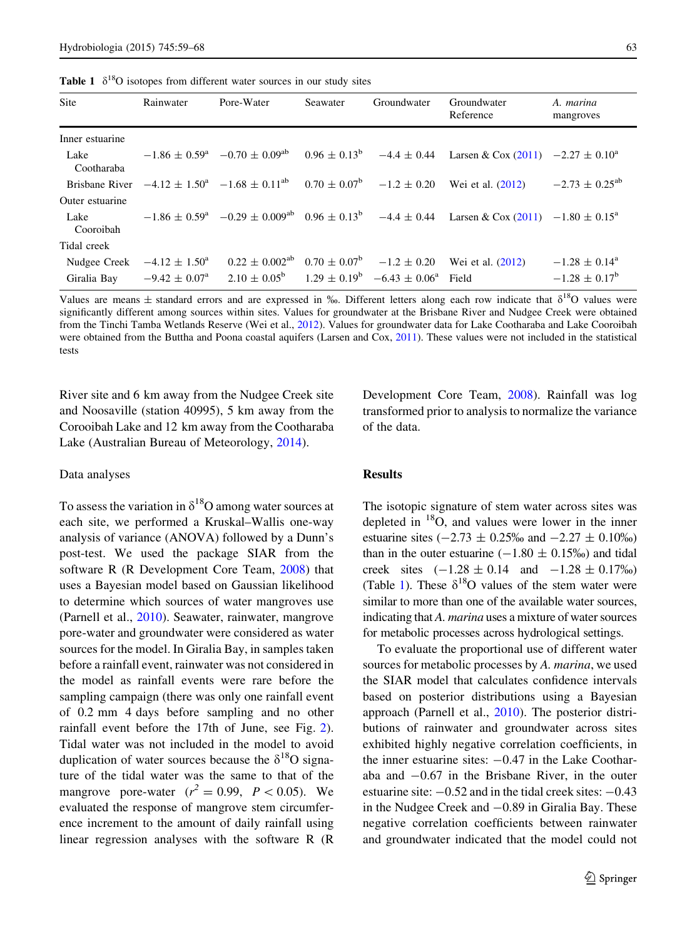<span id="page-4-0"></span>**Table 1**  $\delta^{18}$ O isotopes from different water sources in our study sites

| Site                        | Rainwater                                            | Pore-Water                                                                                | Seawater | Groundwater                                                                    | Groundwater<br>Reference                                                                                           | A. marina<br>mangroves                               |
|-----------------------------|------------------------------------------------------|-------------------------------------------------------------------------------------------|----------|--------------------------------------------------------------------------------|--------------------------------------------------------------------------------------------------------------------|------------------------------------------------------|
| Inner estuarine             |                                                      |                                                                                           |          |                                                                                |                                                                                                                    |                                                      |
| Lake<br>Cootharaba          |                                                      |                                                                                           |          |                                                                                | $-1.86 \pm 0.59^a$ $-0.70 \pm 0.09^{ab}$ $0.96 \pm 0.13^b$ $-4.4 \pm 0.44$ Larsen & Cox (2011) $-2.27 \pm 0.10^a$  |                                                      |
|                             |                                                      | Brisbane River $-4.12 \pm 1.50^a$ $-1.68 \pm 0.11^{ab}$ $0.70 \pm 0.07^b$ $-1.2 \pm 0.20$ |          |                                                                                | Wei et al. (2012)                                                                                                  | $-2.73 \pm 0.25$ <sup>ab</sup>                       |
| Outer estuarine             |                                                      |                                                                                           |          |                                                                                |                                                                                                                    |                                                      |
| Lake<br>Cooroibah           |                                                      |                                                                                           |          |                                                                                | $-1.86 \pm 0.59^a$ $-0.29 \pm 0.009^{ab}$ $0.96 \pm 0.13^b$ $-4.4 \pm 0.44$ Larsen & Cox (2011) $-1.80 \pm 0.15^a$ |                                                      |
| Tidal creek                 |                                                      |                                                                                           |          |                                                                                |                                                                                                                    |                                                      |
| Nudgee Creek<br>Giralia Bay | $-4.12 \pm 1.50^{\circ}$<br>$-9.42 \pm 0.07^{\rm a}$ |                                                                                           |          | $2.10 \pm 0.05^{\rm b}$ $1.29 \pm 0.19^{\rm b}$ $-6.43 \pm 0.06^{\rm a}$ Field | $0.22 \pm 0.002^{ab}$ $0.70 \pm 0.07^{b}$ $-1.2 \pm 0.20$ Wei et al. (2012)                                        | $-1.28 \pm 0.14^{\circ}$<br>$-1.28 \pm 0.17^{\rm b}$ |

Values are means  $\pm$  standard errors and are expressed in ‰. Different letters along each row indicate that  $\delta^{18}O$  values were significantly different among sources within sites. Values for groundwater at the Brisbane River and Nudgee Creek were obtained from the Tinchi Tamba Wetlands Reserve (Wei et al., [2012](#page-9-0)). Values for groundwater data for Lake Cootharaba and Lake Cooroibah were obtained from the Buttha and Poona coastal aquifers (Larsen and Cox, [2011\)](#page-8-0). These values were not included in the statistical tests

River site and 6 km away from the Nudgee Creek site and Noosaville (station 40995), 5 km away from the Corooibah Lake and 12 km away from the Cootharaba Lake (Australian Bureau of Meteorology, [2014](#page-7-0)).

#### Data analyses

To assess the variation in  $\delta^{18}$ O among water sources at each site, we performed a Kruskal–Wallis one-way analysis of variance (ANOVA) followed by a Dunn's post-test. We used the package SIAR from the software R (R Development Core Team, [2008\)](#page-8-0) that uses a Bayesian model based on Gaussian likelihood to determine which sources of water mangroves use (Parnell et al., [2010](#page-8-0)). Seawater, rainwater, mangrove pore-water and groundwater were considered as water sources for the model. In Giralia Bay, in samples taken before a rainfall event, rainwater was not considered in the model as rainfall events were rare before the sampling campaign (there was only one rainfall event of 0.2 mm 4 days before sampling and no other rainfall event before the 17th of June, see Fig. [2](#page-3-0)). Tidal water was not included in the model to avoid duplication of water sources because the  $\delta^{18}O$  signature of the tidal water was the same to that of the mangrove pore-water  $(r^2 = 0.99, P < 0.05)$ . We evaluated the response of mangrove stem circumference increment to the amount of daily rainfall using linear regression analyses with the software R (R Development Core Team, [2008\)](#page-8-0). Rainfall was log transformed prior to analysis to normalize the variance of the data.

## Results

The isotopic signature of stem water across sites was depleted in 18O, and values were lower in the inner estuarine sites  $(-2.73 \pm 0.25\%$  and  $-2.27 \pm 0.10\%$ ) than in the outer estuarine  $(-1.80 \pm 0.15\%)$  and tidal creek sites  $(-1.28 \pm 0.14$  and  $-1.28 \pm 0.17\%)$ (Table 1). These  $\delta^{18}O$  values of the stem water were similar to more than one of the available water sources, indicating that A. marina uses a mixture of water sources for metabolic processes across hydrological settings.

To evaluate the proportional use of different water sources for metabolic processes by A. marina, we used the SIAR model that calculates confidence intervals based on posterior distributions using a Bayesian approach (Parnell et al., [2010](#page-8-0)). The posterior distributions of rainwater and groundwater across sites exhibited highly negative correlation coefficients, in the inner estuarine sites:  $-0.47$  in the Lake Cootharaba and  $-0.67$  in the Brisbane River, in the outer estuarine site:  $-0.52$  and in the tidal creek sites:  $-0.43$ in the Nudgee Creek and  $-0.89$  in Giralia Bay. These negative correlation coefficients between rainwater and groundwater indicated that the model could not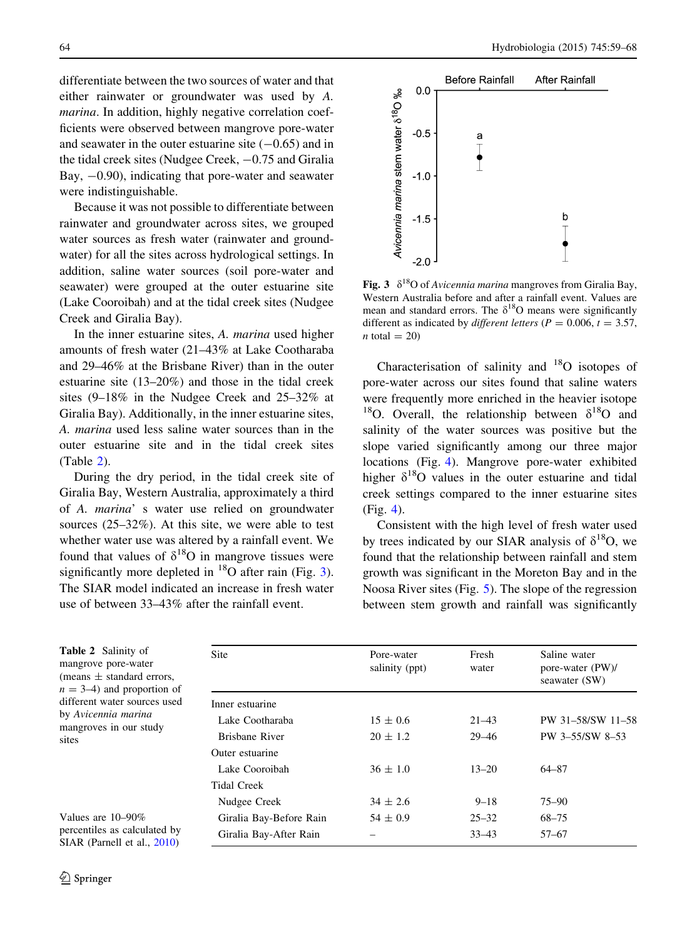differentiate between the two sources of water and that either rainwater or groundwater was used by A. marina. In addition, highly negative correlation coefficients were observed between mangrove pore-water and seawater in the outer estuarine site  $(-0.65)$  and in the tidal creek sites (Nudgee Creek,  $-0.75$  and Giralia Bay,  $-0.90$ ), indicating that pore-water and seawater were indistinguishable.

Because it was not possible to differentiate between rainwater and groundwater across sites, we grouped water sources as fresh water (rainwater and groundwater) for all the sites across hydrological settings. In addition, saline water sources (soil pore-water and seawater) were grouped at the outer estuarine site (Lake Cooroibah) and at the tidal creek sites (Nudgee Creek and Giralia Bay).

In the inner estuarine sites, A. marina used higher amounts of fresh water (21–43% at Lake Cootharaba and 29–46% at the Brisbane River) than in the outer estuarine site (13–20%) and those in the tidal creek sites (9–18% in the Nudgee Creek and 25–32% at Giralia Bay). Additionally, in the inner estuarine sites, A. marina used less saline water sources than in the outer estuarine site and in the tidal creek sites (Table 2).

During the dry period, in the tidal creek site of Giralia Bay, Western Australia, approximately a third of A. marina' s water use relied on groundwater sources (25–32%). At this site, we were able to test whether water use was altered by a rainfall event. We found that values of  $\delta^{18}$ O in mangrove tissues were significantly more depleted in  $^{18}$ O after rain (Fig. 3). The SIAR model indicated an increase in fresh water use of between 33–43% after the rainfall event.

<span id="page-5-0"></span>64 Hydrobiologia (2015) 745:59–68



**Fig. 3**  $\delta^{18}$ O of Avicennia marina mangroves from Giralia Bay, Western Australia before and after a rainfall event. Values are mean and standard errors. The  $\delta^{18}$ O means were significantly different as indicated by *different letters* ( $P = 0.006$ ,  $t = 3.57$ ,  $n$  total = 20)

Characterisation of salinity and 18O isotopes of pore-water across our sites found that saline waters were frequently more enriched in the heavier isotope <sup>18</sup>O. Overall, the relationship between  $\delta^{18}$ O and salinity of the water sources was positive but the slope varied significantly among our three major locations (Fig. [4\)](#page-6-0). Mangrove pore-water exhibited higher  $\delta^{18}$ O values in the outer estuarine and tidal creek settings compared to the inner estuarine sites (Fig. [4](#page-6-0)).

Consistent with the high level of fresh water used by trees indicated by our SIAR analysis of  $\delta^{18}O$ , we found that the relationship between rainfall and stem growth was significant in the Moreton Bay and in the Noosa River sites (Fig. [5\)](#page-6-0). The slope of the regression between stem growth and rainfall was significantly

| <b>Table 2</b> Salinity of<br>mangrove pore-water<br>(means $\pm$ standard errors,<br>$n = 3-4$ and proportion of | Site                    | Pore-water<br>salinity (ppt) | Fresh<br>water | Saline water<br>pore-water (PW)/<br>seawater (SW) |  |  |
|-------------------------------------------------------------------------------------------------------------------|-------------------------|------------------------------|----------------|---------------------------------------------------|--|--|
| different water sources used                                                                                      | Inner estuarine         |                              |                |                                                   |  |  |
| by Avicennia marina<br>mangroves in our study                                                                     | Lake Cootharaba         | $15 \pm 0.6$                 | $21 - 43$      | PW 31-58/SW 11-58                                 |  |  |
| sites                                                                                                             | Brisbane River          | $20 \pm 1.2$                 | $29 - 46$      | PW 3-55/SW 8-53                                   |  |  |
|                                                                                                                   | Outer estuarine         |                              |                |                                                   |  |  |
|                                                                                                                   | Lake Cooroibah          | $36 \pm 1.0$                 | $13 - 20$      | 64-87                                             |  |  |
|                                                                                                                   | Tidal Creek             |                              |                |                                                   |  |  |
|                                                                                                                   | Nudgee Creek            | $34 \pm 2.6$                 | $9 - 18$       | $75 - 90$                                         |  |  |
| Values are $10-90\%$                                                                                              | Giralia Bay-Before Rain | $54 \pm 0.9$                 | $25 - 32$      | $68 - 75$                                         |  |  |
| percentiles as calculated by<br>SIAR (Parnell et al., 2010)                                                       | Giralia Bay-After Rain  |                              | $33 - 43$      | $57 - 67$                                         |  |  |

 $\mathbf{s}$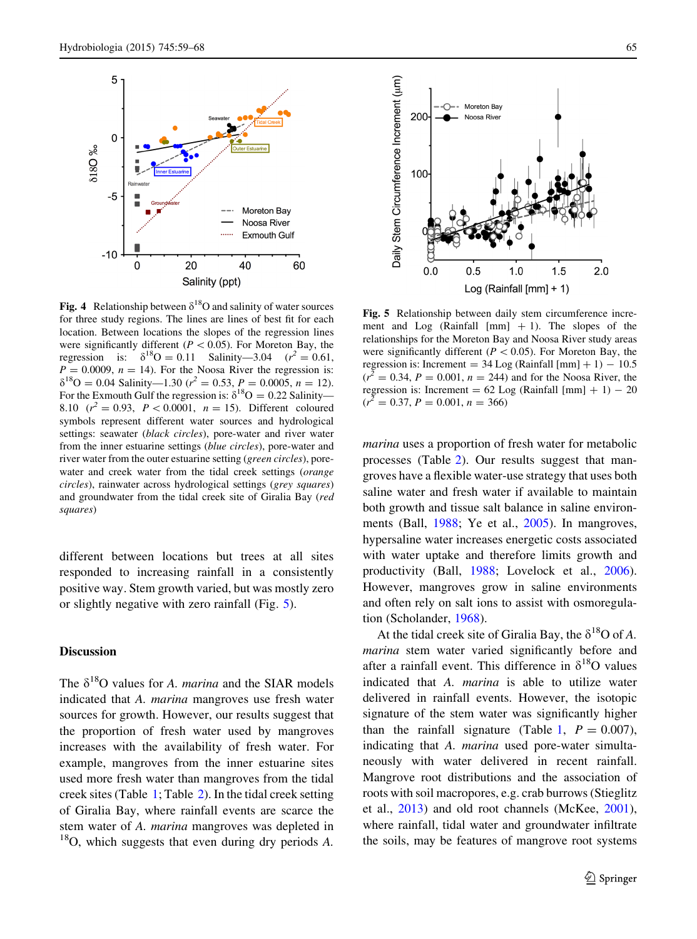<span id="page-6-0"></span>

Fig. 4 Relationship between  $\delta^{18}$ O and salinity of water sources for three study regions. The lines are lines of best fit for each location. Between locations the slopes of the regression lines were significantly different ( $P < 0.05$ ). For Moreton Bay, the regression is:  $\delta^{18}O = 0.11$  Salinity—3.04 ( $r^2 = 0.61$ ,  $P = 0.0009$ ,  $n = 14$ ). For the Noosa River the regression is:  $\delta^{18}$ O = 0.04 Salinity—1.30 ( $r^2$  = 0.53, P = 0.0005, n = 12). For the Exmouth Gulf the regression is:  $\delta^{18}O = 0.22$  Salinity— 8.10  $(r^2 = 0.93, P < 0.0001, n = 15)$ . Different coloured symbols represent different water sources and hydrological settings: seawater (black circles), pore-water and river water from the inner estuarine settings (blue circles), pore-water and river water from the outer estuarine setting (green circles), porewater and creek water from the tidal creek settings (orange circles), rainwater across hydrological settings (grey squares) and groundwater from the tidal creek site of Giralia Bay (red squares)

different between locations but trees at all sites responded to increasing rainfall in a consistently positive way. Stem growth varied, but was mostly zero or slightly negative with zero rainfall (Fig. 5).

## Discussion

The  $\delta^{18}O$  values for A. marina and the SIAR models indicated that A. marina mangroves use fresh water sources for growth. However, our results suggest that the proportion of fresh water used by mangroves increases with the availability of fresh water. For example, mangroves from the inner estuarine sites used more fresh water than mangroves from the tidal creek sites (Table [1](#page-4-0); Table [2](#page-5-0)). In the tidal creek setting of Giralia Bay, where rainfall events are scarce the stem water of A. marina mangroves was depleted in  $18$ O, which suggests that even during dry periods A.



Fig. 5 Relationship between daily stem circumference increment and Log (Rainfall  $[mm] + 1$ ). The slopes of the relationships for the Moreton Bay and Noosa River study areas were significantly different ( $P < 0.05$ ). For Moreton Bay, the regression is: Increment =  $34 \text{ Log (Rainfall [mm] + 1)} - 10.5$  $(r^2 = 0.34, P = 0.001, n = 244)$  and for the Noosa River, the regression is: Increment =  $62 \text{ Log (Rainfall [mm] + 1) - 20}$  $(r^2 = 0.37, P = 0.001, n = 366)$ 

marina uses a proportion of fresh water for metabolic processes (Table [2\)](#page-5-0). Our results suggest that mangroves have a flexible water-use strategy that uses both saline water and fresh water if available to maintain both growth and tissue salt balance in saline environments (Ball, [1988;](#page-7-0) Ye et al., [2005](#page-9-0)). In mangroves, hypersaline water increases energetic costs associated with water uptake and therefore limits growth and productivity (Ball, [1988](#page-7-0); Lovelock et al., [2006](#page-8-0)). However, mangroves grow in saline environments and often rely on salt ions to assist with osmoregulation (Scholander, [1968\)](#page-8-0).

At the tidal creek site of Giralia Bay, the  $\delta^{18}O$  of A. marina stem water varied significantly before and after a rainfall event. This difference in  $\delta^{18}O$  values indicated that A. marina is able to utilize water delivered in rainfall events. However, the isotopic signature of the stem water was significantly higher than the rainfall signature (Table [1](#page-4-0),  $P = 0.007$ ), indicating that A. marina used pore-water simultaneously with water delivered in recent rainfall. Mangrove root distributions and the association of roots with soil macropores, e.g. crab burrows (Stieglitz et al., [2013\)](#page-8-0) and old root channels (McKee, [2001](#page-8-0)), where rainfall, tidal water and groundwater infiltrate the soils, may be features of mangrove root systems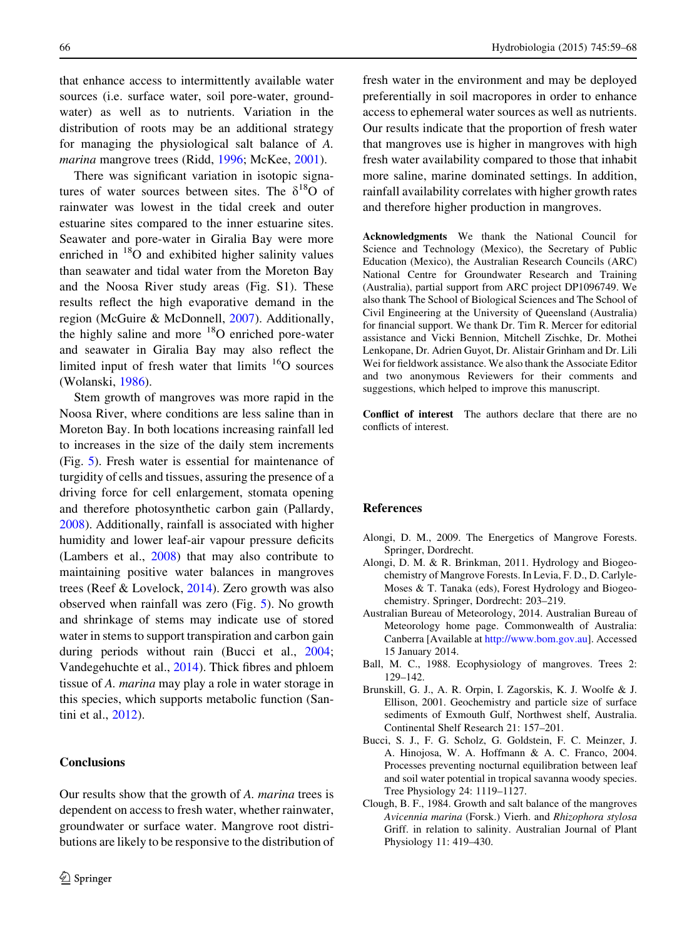<span id="page-7-0"></span>that enhance access to intermittently available water sources (i.e. surface water, soil pore-water, groundwater) as well as to nutrients. Variation in the distribution of roots may be an additional strategy for managing the physiological salt balance of A. marina mangrove trees (Ridd, [1996;](#page-8-0) McKee, [2001](#page-8-0)).

There was significant variation in isotopic signatures of water sources between sites. The  $\delta^{18}$ O of rainwater was lowest in the tidal creek and outer estuarine sites compared to the inner estuarine sites. Seawater and pore-water in Giralia Bay were more enriched in <sup>18</sup>O and exhibited higher salinity values than seawater and tidal water from the Moreton Bay and the Noosa River study areas (Fig. S1). These results reflect the high evaporative demand in the region (McGuire & McDonnell, [2007](#page-8-0)). Additionally, the highly saline and more  $18$ O enriched pore-water and seawater in Giralia Bay may also reflect the limited input of fresh water that limits  $16$ O sources (Wolanski, [1986\)](#page-9-0).

Stem growth of mangroves was more rapid in the Noosa River, where conditions are less saline than in Moreton Bay. In both locations increasing rainfall led to increases in the size of the daily stem increments (Fig. [5](#page-6-0)). Fresh water is essential for maintenance of turgidity of cells and tissues, assuring the presence of a driving force for cell enlargement, stomata opening and therefore photosynthetic carbon gain (Pallardy, [2008\)](#page-8-0). Additionally, rainfall is associated with higher humidity and lower leaf-air vapour pressure deficits (Lambers et al., [2008\)](#page-8-0) that may also contribute to maintaining positive water balances in mangroves trees (Reef & Lovelock, [2014\)](#page-8-0). Zero growth was also observed when rainfall was zero (Fig. [5\)](#page-6-0). No growth and shrinkage of stems may indicate use of stored water in stems to support transpiration and carbon gain during periods without rain (Bucci et al., 2004; Vandegehuchte et al., [2014](#page-8-0)). Thick fibres and phloem tissue of A. marina may play a role in water storage in this species, which supports metabolic function (Santini et al., [2012](#page-8-0)).

## Conclusions

Our results show that the growth of A. marina trees is dependent on access to fresh water, whether rainwater, groundwater or surface water. Mangrove root distributions are likely to be responsive to the distribution of fresh water in the environment and may be deployed preferentially in soil macropores in order to enhance access to ephemeral water sources as well as nutrients. Our results indicate that the proportion of fresh water that mangroves use is higher in mangroves with high fresh water availability compared to those that inhabit more saline, marine dominated settings. In addition, rainfall availability correlates with higher growth rates and therefore higher production in mangroves.

Acknowledgments We thank the National Council for Science and Technology (Mexico), the Secretary of Public Education (Mexico), the Australian Research Councils (ARC) National Centre for Groundwater Research and Training (Australia), partial support from ARC project DP1096749. We also thank The School of Biological Sciences and The School of Civil Engineering at the University of Queensland (Australia) for financial support. We thank Dr. Tim R. Mercer for editorial assistance and Vicki Bennion, Mitchell Zischke, Dr. Mothei Lenkopane, Dr. Adrien Guyot, Dr. Alistair Grinham and Dr. Lili Wei for fieldwork assistance. We also thank the Associate Editor and two anonymous Reviewers for their comments and suggestions, which helped to improve this manuscript.

Conflict of interest The authors declare that there are no conflicts of interest.

## References

- Alongi, D. M., 2009. The Energetics of Mangrove Forests. Springer, Dordrecht.
- Alongi, D. M. & R. Brinkman, 2011. Hydrology and Biogeochemistry of Mangrove Forests. In Levia, F. D., D. Carlyle-Moses & T. Tanaka (eds), Forest Hydrology and Biogeochemistry. Springer, Dordrecht: 203–219.
- Australian Bureau of Meteorology, 2014. Australian Bureau of Meteorology home page. Commonwealth of Australia: Canberra [Available at <http://www.bom.gov.au>]. Accessed 15 January 2014.
- Ball, M. C., 1988. Ecophysiology of mangroves. Trees 2: 129–142.
- Brunskill, G. J., A. R. Orpin, I. Zagorskis, K. J. Woolfe & J. Ellison, 2001. Geochemistry and particle size of surface sediments of Exmouth Gulf, Northwest shelf, Australia. Continental Shelf Research 21: 157–201.
- Bucci, S. J., F. G. Scholz, G. Goldstein, F. C. Meinzer, J. A. Hinojosa, W. A. Hoffmann & A. C. Franco, 2004. Processes preventing nocturnal equilibration between leaf and soil water potential in tropical savanna woody species. Tree Physiology 24: 1119–1127.
- Clough, B. F., 1984. Growth and salt balance of the mangroves Avicennia marina (Forsk.) Vierh. and Rhizophora stylosa Griff. in relation to salinity. Australian Journal of Plant Physiology 11: 419–430.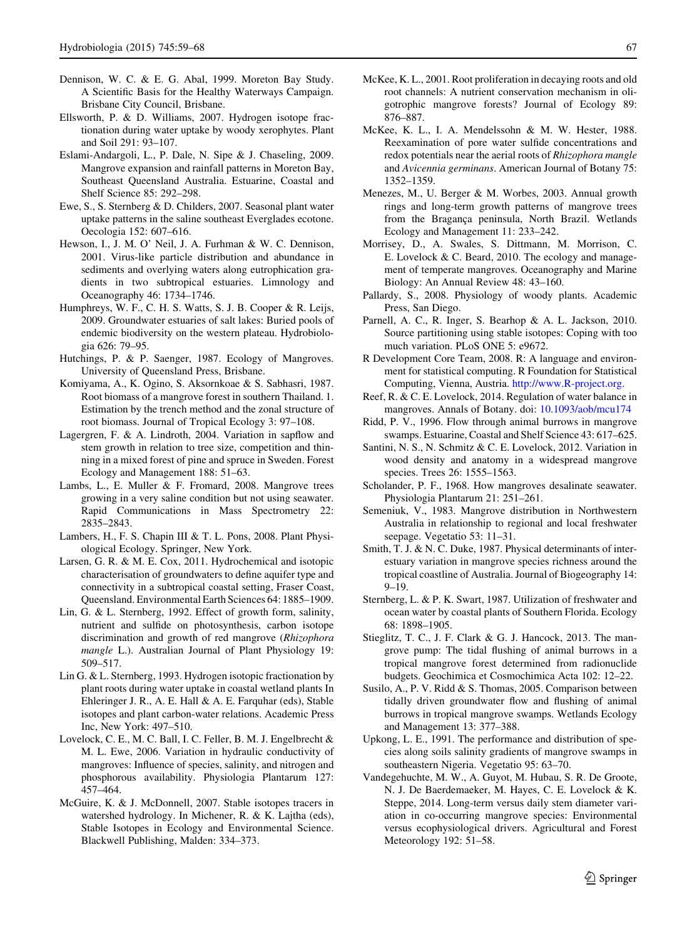- <span id="page-8-0"></span>Dennison, W. C. & E. G. Abal, 1999. Moreton Bay Study. A Scientific Basis for the Healthy Waterways Campaign. Brisbane City Council, Brisbane.
- Ellsworth, P. & D. Williams, 2007. Hydrogen isotope fractionation during water uptake by woody xerophytes. Plant and Soil 291: 93–107.
- Eslami-Andargoli, L., P. Dale, N. Sipe & J. Chaseling, 2009. Mangrove expansion and rainfall patterns in Moreton Bay, Southeast Queensland Australia. Estuarine, Coastal and Shelf Science 85: 292–298.
- Ewe, S., S. Sternberg & D. Childers, 2007. Seasonal plant water uptake patterns in the saline southeast Everglades ecotone. Oecologia 152: 607–616.
- Hewson, I., J. M. O' Neil, J. A. Furhman & W. C. Dennison, 2001. Virus-like particle distribution and abundance in sediments and overlying waters along eutrophication gradients in two subtropical estuaries. Limnology and Oceanography 46: 1734–1746.
- Humphreys, W. F., C. H. S. Watts, S. J. B. Cooper & R. Leijs, 2009. Groundwater estuaries of salt lakes: Buried pools of endemic biodiversity on the western plateau. Hydrobiologia 626: 79–95.
- Hutchings, P. & P. Saenger, 1987. Ecology of Mangroves. University of Queensland Press, Brisbane.
- Komiyama, A., K. Ogino, S. Aksornkoae & S. Sabhasri, 1987. Root biomass of a mangrove forest in southern Thailand. 1. Estimation by the trench method and the zonal structure of root biomass. Journal of Tropical Ecology 3: 97–108.
- Lagergren, F. & A. Lindroth, 2004. Variation in sapflow and stem growth in relation to tree size, competition and thinning in a mixed forest of pine and spruce in Sweden. Forest Ecology and Management 188: 51–63.
- Lambs, L., E. Muller & F. Fromard, 2008. Mangrove trees growing in a very saline condition but not using seawater. Rapid Communications in Mass Spectrometry 22: 2835–2843.
- Lambers, H., F. S. Chapin III & T. L. Pons, 2008. Plant Physiological Ecology. Springer, New York.
- Larsen, G. R. & M. E. Cox, 2011. Hydrochemical and isotopic characterisation of groundwaters to define aquifer type and connectivity in a subtropical coastal setting, Fraser Coast, Queensland. Environmental Earth Sciences 64: 1885–1909.
- Lin, G. & L. Sternberg, 1992. Effect of growth form, salinity, nutrient and sulfide on photosynthesis, carbon isotope discrimination and growth of red mangrove (Rhizophora mangle L.). Australian Journal of Plant Physiology 19: 509–517.
- Lin G. & L. Sternberg, 1993. Hydrogen isotopic fractionation by plant roots during water uptake in coastal wetland plants In Ehleringer J. R., A. E. Hall & A. E. Farquhar (eds), Stable isotopes and plant carbon-water relations. Academic Press Inc, New York: 497–510.
- Lovelock, C. E., M. C. Ball, I. C. Feller, B. M. J. Engelbrecht & M. L. Ewe, 2006. Variation in hydraulic conductivity of mangroves: Influence of species, salinity, and nitrogen and phosphorous availability. Physiologia Plantarum 127: 457–464.
- McGuire, K. & J. McDonnell, 2007. Stable isotopes tracers in watershed hydrology. In Michener, R. & K. Lajtha (eds), Stable Isotopes in Ecology and Environmental Science. Blackwell Publishing, Malden: 334–373.
- McKee, K. L., 2001. Root proliferation in decaying roots and old root channels: A nutrient conservation mechanism in oligotrophic mangrove forests? Journal of Ecology 89: 876–887.
- McKee, K. L., I. A. Mendelssohn & M. W. Hester, 1988. Reexamination of pore water sulfide concentrations and redox potentials near the aerial roots of Rhizophora mangle and Avicennia germinans. American Journal of Botany 75: 1352–1359.
- Menezes, M., U. Berger & M. Worbes, 2003. Annual growth rings and long-term growth patterns of mangrove trees from the Bragança peninsula, North Brazil. Wetlands Ecology and Management 11: 233–242.
- Morrisey, D., A. Swales, S. Dittmann, M. Morrison, C. E. Lovelock & C. Beard, 2010. The ecology and management of temperate mangroves. Oceanography and Marine Biology: An Annual Review 48: 43–160.
- Pallardy, S., 2008. Physiology of woody plants. Academic Press, San Diego.
- Parnell, A. C., R. Inger, S. Bearhop & A. L. Jackson, 2010. Source partitioning using stable isotopes: Coping with too much variation. PLoS ONE 5: e9672.
- R Development Core Team, 2008. R: A language and environment for statistical computing. R Foundation for Statistical Computing, Vienna, Austria. [http://www.R-project.org.](http://www.R-project.org)
- Reef, R. & C. E. Lovelock, 2014. Regulation of water balance in mangroves. Annals of Botany. doi: [10.1093/aob/mcu174](http://dx.doi.org/10.1093/aob/mcu174)
- Ridd, P. V., 1996. Flow through animal burrows in mangrove swamps. Estuarine, Coastal and Shelf Science 43: 617–625.
- Santini, N. S., N. Schmitz & C. E. Lovelock, 2012. Variation in wood density and anatomy in a widespread mangrove species. Trees 26: 1555–1563.
- Scholander, P. F., 1968. How mangroves desalinate seawater. Physiologia Plantarum 21: 251–261.
- Semeniuk, V., 1983. Mangrove distribution in Northwestern Australia in relationship to regional and local freshwater seepage. Vegetatio 53: 11–31.
- Smith, T. J. & N. C. Duke, 1987. Physical determinants of interestuary variation in mangrove species richness around the tropical coastline of Australia. Journal of Biogeography 14: 9–19.
- Sternberg, L. & P. K. Swart, 1987. Utilization of freshwater and ocean water by coastal plants of Southern Florida. Ecology 68: 1898–1905.
- Stieglitz, T. C., J. F. Clark & G. J. Hancock, 2013. The mangrove pump: The tidal flushing of animal burrows in a tropical mangrove forest determined from radionuclide budgets. Geochimica et Cosmochimica Acta 102: 12–22.
- Susilo, A., P. V. Ridd & S. Thomas, 2005. Comparison between tidally driven groundwater flow and flushing of animal burrows in tropical mangrove swamps. Wetlands Ecology and Management 13: 377–388.
- Upkong, L. E., 1991. The performance and distribution of species along soils salinity gradients of mangrove swamps in southeastern Nigeria. Vegetatio 95: 63–70.
- Vandegehuchte, M. W., A. Guyot, M. Hubau, S. R. De Groote, N. J. De Baerdemaeker, M. Hayes, C. E. Lovelock & K. Steppe, 2014. Long-term versus daily stem diameter variation in co-occurring mangrove species: Environmental versus ecophysiological drivers. Agricultural and Forest Meteorology 192: 51–58.